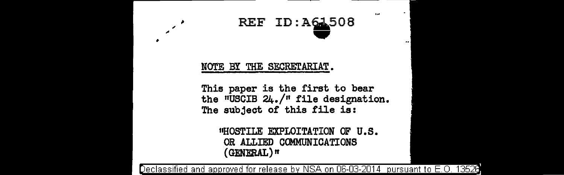## REF ID: A61508

5,60

## NOTE BY THE SECRETARIAT.

 $\overline{a}$ 

This paper is the first to bear the "USCIB 24./" file designation. The subject of this file is:

> "HOSTILE EXPLOITATION OF U.S. OR ALLIED COMMUNICATIONS (GENERAL) *tt*

eclassified and approved for release by NSA on 06-03-2014 pursuant to E.O. 13520